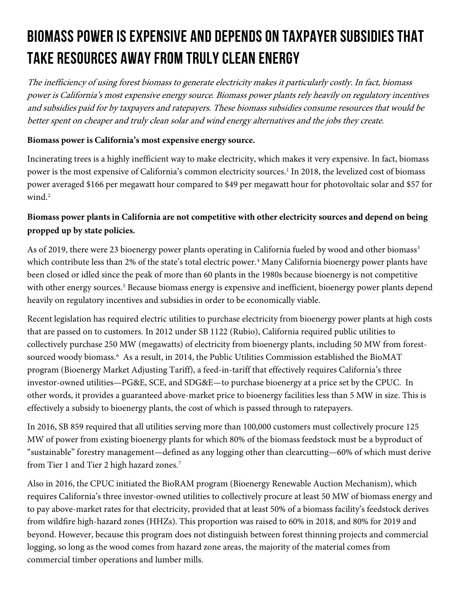# **Biomass Power is Expensive and Depends on Taxpayer Subsidies that Take Resources Away from Truly Clean Energy**

The inefficiency of using forest biomass to generate electricity makes it particularly costly. In fact, biomass power is California's most expensive energy source. Biomass power plants rely heavily on regulatory incentives and subsidies paid for by taxpayers and ratepayers. These biomass subsidies consume resources that would be better spent on cheaper and truly clean solar and wind energy alternatives and the jobs they create.

#### **Biomass power is California's most expensive energy source.**

Incinerating trees is a highly inefficient way to make electricity, which makes it very expensive. In fact, biomass power is the most expensive of California's common electricity sources. [1](#page-2-0) In 2018, the levelized cost of biomass power averaged \$166 per megawatt hour compared to \$49 per megawatt hour for photovoltaic solar and \$57 for wind. $2$ 

### **Biomass power plants in California are not competitive with other electricity sources and depend on being propped up by state policies.**

As of 2019, there were 2[3](#page-2-2) bioenergy power plants operating in California fueled by wood and other biomass<sup>3</sup> which contribute less than 2% of the state's total electric power.<sup>[4](#page-2-3)</sup> Many California bioenergy power plants have been closed or idled since the peak of more than 60 plants in the 1980s because bioenergy is not competitive with other energy sources.<sup>[5](#page-2-4)</sup> Because biomass energy is expensive and inefficient, bioenergy power plants depend heavily on regulatory incentives and subsidies in order to be economically viable.

Recent legislation has required electric utilities to purchase electricity from bioenergy power plants at high costs that are passed on to customers. In 2012 under SB 1122 (Rubio), California required public utilities to collectively purchase 250 MW (megawatts) of electricity from bioenergy plants, including 50 MW from forestsourced woody biomass.[6](#page-2-5) As a result, in 2014, the Public Utilities Commission established the BioMAT program (Bioenergy Market Adjusting Tariff), a feed-in-tariff that effectively requires California's three investor-owned utilities—PG&E, SCE, and SDG&E—to purchase bioenergy at a price set by the CPUC. In other words, it provides a guaranteed above-market price to bioenergy facilities less than 5 MW in size. This is effectively a subsidy to bioenergy plants, the cost of which is passed through to ratepayers.

In 2016, SB 859 required that all utilities serving more than 100,000 customers must collectively procure 125 MW of power from existing bioenergy plants for which 80% of the biomass feedstock must be a byproduct of "sustainable" forestry management—defined as any logging other than clearcutting—60% of which must derive from Tier 1 and Tier 2 high hazard zones.<sup>[7](#page-2-6)</sup>

Also in 2016, the CPUC initiated the BioRAM program (Bioenergy Renewable Auction Mechanism), which requires California's three investor-owned utilities to collectively procure at least 50 MW of biomass energy and to pay above-market rates for that electricity, provided that at least 50% of a biomass facility's feedstock derives from wildfire high-hazard zones (HHZs). This proportion was raised to 60% in 2018, and 80% for 2019 and beyond. However, because this program does not distinguish between forest thinning projects and commercial logging, so long as the wood comes from hazard zone areas, the majority of the material comes from commercial timber operations and lumber mills.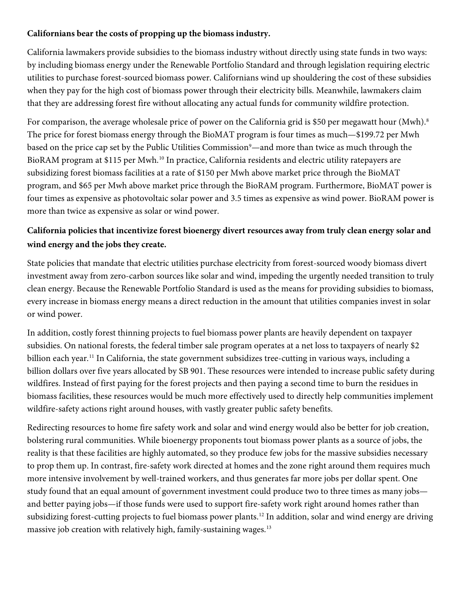#### **Californians bear the costs of propping up the biomass industry.**

California lawmakers provide subsidies to the biomass industry without directly using state funds in two ways: by including biomass energy under the Renewable Portfolio Standard and through legislation requiring electric utilities to purchase forest-sourced biomass power. Californians wind up shouldering the cost of these subsidies when they pay for the high cost of biomass power through their electricity bills. Meanwhile, lawmakers claim that they are addressing forest fire without allocating any actual funds for community wildfire protection.

For comparison, the average wholesale price of power on the California grid is \$50 per megawatt hour (Mwh). [8](#page-2-7) The price for forest biomass energy through the BioMAT program is four times as much—\$199.72 per Mwh based on the price cap set by the Public Utilities Commission°—and more than twice as much through the BioRAM program at \$115 per Mwh. [10](#page-2-9) In practice, California residents and electric utility ratepayers are subsidizing forest biomass facilities at a rate of \$150 per Mwh above market price through the BioMAT program, and \$65 per Mwh above market price through the BioRAM program. Furthermore, BioMAT power is four times as expensive as photovoltaic solar power and 3.5 times as expensive as wind power. BioRAM power is more than twice as expensive as solar or wind power.

## **California policies that incentivize forest bioenergy divert resources away from truly clean energy solar and wind energy and the jobs they create.**

State policies that mandate that electric utilities purchase electricity from forest-sourced woody biomass divert investment away from zero-carbon sources like solar and wind, impeding the urgently needed transition to truly clean energy. Because the Renewable Portfolio Standard is used as the means for providing subsidies to biomass, every increase in biomass energy means a direct reduction in the amount that utilities companies invest in solar or wind power.

In addition, costly forest thinning projects to fuel biomass power plants are heavily dependent on taxpayer subsidies. On national forests, the federal timber sale program operates at a net loss to taxpayers of nearly \$2 billion each year.<sup>[11](#page-2-10)</sup> In California, the state government subsidizes tree-cutting in various ways, including a billion dollars over five years allocated by SB 901. These resources were intended to increase public safety during wildfires. Instead of first paying for the forest projects and then paying a second time to burn the residues in biomass facilities, these resources would be much more effectively used to directly help communities implement wildfire-safety actions right around houses, with vastly greater public safety benefits.

Redirecting resources to home fire safety work and solar and wind energy would also be better for job creation, bolstering rural communities. While bioenergy proponents tout biomass power plants as a source of jobs, the reality is that these facilities are highly automated, so they produce few jobs for the massive subsidies necessary to prop them up. In contrast, fire-safety work directed at homes and the zone right around them requires much more intensive involvement by well-trained workers, and thus generates far more jobs per dollar spent. One study found that an equal amount of government investment could produce two to three times as many jobs and better paying jobs—if those funds were used to support fire-safety work right around homes rather than subsidizing forest-cutting projects to fuel biomass power plants. [12](#page-3-0) In addition, solar and wind energy are driving massive job creation with relatively high, family-sustaining wages. [13](#page-3-1)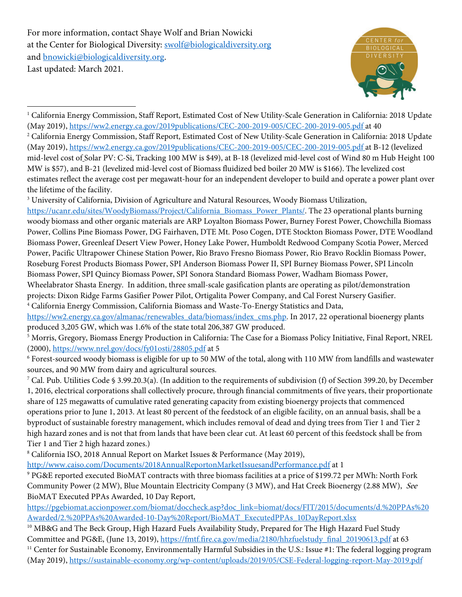<span id="page-2-0"></span>For more information, contact Shaye Wolf and Brian Nowicki at the Center for Biological Diversity: [swolf@biologicaldiversity.org](mailto:swolf@biologicaldiversity.org) and [bnowicki@biologicaldiversity.org.](mailto:bnowicki@biologicaldiversity.org) Last updated: March 2021.



<sup>1</sup> California Energy Commission, Staff Report, Estimated Cost of New Utility-Scale Generation in California: 2018 Update (May 2019),<https://ww2.energy.ca.gov/2019publications/CEC-200-2019-005/CEC-200-2019-005.pdf> at 40 <sup>2</sup> California Energy Commission, Staff Report, Estimated Cost of New Utility-Scale Generation in California: 2018 Update (May 2019),<https://ww2.energy.ca.gov/2019publications/CEC-200-2019-005/CEC-200-2019-005.pdf> at B-12 (levelized mid-level cost of Solar PV: C-Si, Tracking 100 MW is \$49), at B-18 (levelized mid-level cost of Wind 80 m Hub Height 100 MW is \$57), and B-21 (levelized mid-level cost of Biomass fluidized bed boiler 20 MW is \$166). The levelized cost estimates reflect the average cost per megawatt-hour for an independent developer to build and operate a power plant over the lifetime of the facility.

<span id="page-2-2"></span><span id="page-2-1"></span><sup>3</sup> University of California, Division of Agriculture and Natural Resources, Woody Biomass Utilization, [https://ucanr.edu/sites/WoodyBiomass/Project/California\\_Biomass\\_Power\\_Plants/.](https://ucanr.edu/sites/WoodyBiomass/Project/California_Biomass_Power_Plants/) The 23 operational plants burning woody biomass and other organic materials are ARP Loyalton Biomass Power, Burney Forest Power, Chowchilla Biomass Power, Collins Pine Biomass Power, DG Fairhaven, DTE Mt. Poso Cogen, DTE Stockton Biomass Power, DTE Woodland Biomass Power, Greenleaf Desert View Power, Honey Lake Power, Humboldt Redwood Company Scotia Power, Merced Power, Pacific Ultrapower Chinese Station Power, Rio Bravo Fresno Biomass Power, Rio Bravo Rocklin Biomass Power, Roseburg Forest Products Biomass Power, SPI Anderson Biomass Power II, SPI Burney Biomass Power, SPI Lincoln Biomass Power, SPI Quincy Biomass Power, SPI Sonora Standard Biomass Power, Wadham Biomass Power, Wheelabrator Shasta Energy. In addition, three small-scale gasification plants are operating as pilot/demonstration projects: Dixon Ridge Farms Gasifier Power Pilot, Ortigalita Power Company, and Cal Forest Nursery Gasifier. <sup>4</sup> California Energy Commission, California Biomass and Waste-To-Energy Statistics and Data,

<span id="page-2-3"></span>[https://ww2.energy.ca.gov/almanac/renewables\\_data/biomass/index\\_cms.php.](https://ww2.energy.ca.gov/almanac/renewables_data/biomass/index_cms.php) In 2017, 22 operational bioenergy plants produced 3,205 GW, which was 1.6% of the state total 206,387 GW produced.

<span id="page-2-4"></span><sup>5</sup> Morris, Gregory, Biomass Energy Production in California: The Case for a Biomass Policy Initiative, Final Report, NREL (2000)[, https://www.nrel.gov/docs/fy01osti/28805.pdf](https://www.nrel.gov/docs/fy01osti/28805.pdf) at 5

<span id="page-2-5"></span><sup>6</sup> Forest-sourced woody biomass is eligible for up to 50 MW of the total, along with 110 MW from landfills and wastewater sources, and 90 MW from dairy and agricultural sources.

<span id="page-2-6"></span><sup>7</sup> Cal. Pub. Utilities Code § 3.99.20.3(a). (In addition to the requirements of subdivision (f) of Section 399.20, by December 1, 2016, electrical corporations shall collectively procure, through financial commitments of five years, their proportionate share of 125 megawatts of cumulative rated generating capacity from existing bioenergy projects that commenced operations prior to June 1, 2013. At least 80 percent of the feedstock of an eligible facility, on an annual basis, shall be a byproduct of sustainable forestry management, which includes removal of dead and dying trees from Tier 1 and Tier 2 high hazard zones and is not that from lands that have been clear cut. At least 60 percent of this feedstock shall be from Tier 1 and Tier 2 high hazard zones.)

<span id="page-2-7"></span><sup>8</sup> California ISO, 2018 Annual Report on Market Issues & Performance (May 2019),

<http://www.caiso.com/Documents/2018AnnualReportonMarketIssuesandPerformance.pdf> at 1

<span id="page-2-8"></span><sup>9</sup> PG&E reported executed BioMAT contracts with three biomass facilities at a price of \$199.72 per MWh: North Fork Community Power (2 MW), Blue Mountain Electricity Company (3 MW), and Hat Creek Bioenergy (2.88 MW), See BioMAT Executed PPAs Awarded, 10 Day Report,

[https://pgebiomat.accionpower.com/biomat/doccheck.asp?doc\\_link=biomat/docs/FIT/2015/documents/d.%20PPAs%20](https://pgebiomat.accionpower.com/biomat/doccheck.asp?doc_link=biomat/docs/FIT/2015/documents/d.%20PPAs%20Awarded/2.%20PPAs%20Awarded-10-Day%20Report/BioMAT_ExecutedPPAs_10DayReport.xlsx) [Awarded/2.%20PPAs%20Awarded-10-Day%20Report/BioMAT\\_ExecutedPPAs\\_10DayReport.xlsx](https://pgebiomat.accionpower.com/biomat/doccheck.asp?doc_link=biomat/docs/FIT/2015/documents/d.%20PPAs%20Awarded/2.%20PPAs%20Awarded-10-Day%20Report/BioMAT_ExecutedPPAs_10DayReport.xlsx)

<span id="page-2-9"></span><sup>10</sup> MB&G and The Beck Group, High Hazard Fuels Availability Study, Prepared for The High Hazard Fuel Study Committee and PG&E, (June 13, 2019)[, https://fmtf.fire.ca.gov/media/2180/hhzfuelstudy\\_final\\_20190613.pdf](https://fmtf.fire.ca.gov/media/2180/hhzfuelstudy_final_20190613.pdf) at 63

<span id="page-2-10"></span><sup>11</sup> Center for Sustainable Economy, Environmentally Harmful Subsidies in the U.S.: Issue #1: The federal logging program (May 2019),<https://sustainable-economy.org/wp-content/uploads/2019/05/CSE-Federal-logging-report-May-2019.pdf>